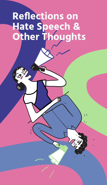# **Reflections on Hate Speech & Other Thoughts**

 $\mathbf{r}$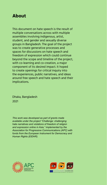# **About**

This document on hate speech is the result of multiple conversations across with multiple assemblies involving indigenous, artist, student, and gender and sexually diverse groups in Bangladesh. The goal of the project was to create generative processes and spaces for discussions on hate speech and freedom of expression which could continue beyond the scope and timeline of the project, with co-learning and co-creation, a major component of its desired impact. It hoped to create openings for critical inquiry into the experiences, public narratives, and ideas around free speech and hate speech and their implications.

Dhaka, Bangladesh 2021

*This work was developed as part of grants made available under the project "Challenge: challenging hate narratives and violations of freedom of religion and expression online in Asia," implemented by the Association for Progressive Communications (APC) with funds from the European Instrument for Democracy and Human Rights (EIDHR).*



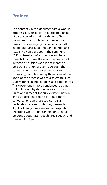#### **Preface**

The contents in this document are a work in progress. It is designed to be the beginning of a conversation and not the end. The document is a distillation and reflects a series of wide-ranging conversations with indigenous, artist, student, and gender and sexually diverse groups in the summer of 2021 on freedom of expression and hate speech. It captures the main themes raised in those discussions and is not meant to be a transcription of events. As such the conversations themselves were more sprawling, complex, in-depth and one of the goals of the process was to also create such spaces for exchange of ideas and experiences. This document is more condensed, at times still unfinished by design, more a working draft, and is meant for public dissemination and as a teaching tool to facilitate more conversations on these topics. It is a declaration of a set of desires, demands, flights of fancy, preferences, and aspirations regarding what to do, can be done, should be done about hate speech, free speech, and surrounding issues.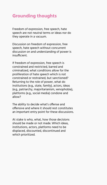# **Grounding thoughts**

Freedom of expression, free speech, hate speech are not neutral terms or ideas nor do they operate in a vacuum.

Discussion on freedom of expression, free speech, hate speech without concurrent discussion on and understanding of power is insufficient.

If freedom of expression, free speech is constrained and restricted, barred and criminalized, what conditions allow for the proliferation of hate speech which is not constrained or restrained, but sanctioned? Returning to the role of power, what do institutions (e.g., state, family), actors, ideas (e.g., patriarchy, majoritarianism, xenophobia), platforms (e.g., social media) condone and allow?

The ability to decide what's offense and offensive and where it should rest constitutes an important entry point for these discussions.

At stake is who, what, how those decisions should be made or not made. Which ideas, institutions, actors, platforms need to be displaced, discounted, discontinued and which prioritized.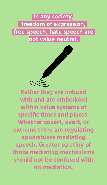**In any society, freedom of expression, free speech, hate speech are not value neutral.** 



**Rather they are imbued with and are embedded within value systems of specific times and places. Whether covert, overt, or extreme there are regulating apparatuses mediating speech. Greater scrutiny of those mediating mechanisms should not be confused with no mediation.**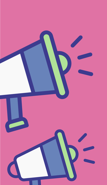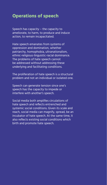### **Operations of speech**

Speech has capacity – the capacity to ameliorate, to harm, to produce and induce action, to remain incapacitated.

Hate speech emanates from systems of oppression and domination, whether patriarchy, homophobia, ultranationalism, ethnic-religious-linguistic-racial dominance. The problems of hate speech cannot be addressed without addressing these underlying and facilitating conditions.

The proliferation of hate speech is a structural problem and not an individual or isolated one.

Speech can generate tension since one's speech has the capacity to impede or interfere with another's speech.

Social media both amplifies circulations of hate speech and reflects entrenched and systemic social conditions. Given its scale and reach, social media can magnify, spread, be an incubator of hate speech. At the same time, it also reflects existing social conditions which birth and promote hate speech.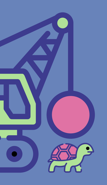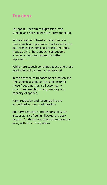# **Tensions**

To repeat, freedom of expression, free speech, and hate speech are interconnected.

In the absence of freedom of expression, free speech, and presence of active efforts to ban, criminalize, persecute these freedoms, "regulation" of hate speech can become a cover, a blunt instrument to further repression.

While hate speech continues apace and those most affected by it remain unassisted.

In the absence of freedom of expression and free speech, a singular focus on ensuring those freedoms must still accompany concurrent weight on responsibility and capacity of speech.

Harm reduction and responsibility are embedded in dreams of freedom.

But harm reduction and responsibility are always at risk of being hijacked, are easy excuses for those who wield unfreedoms at ease, without consequences.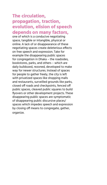## **The circulation, propagation, traction, evolution, elision of speech depends on many factors,**

one of which is a conducive negotiating space, tangible or intangible, physical or online. A lack of or disappearance of these negotiating spaces create deleterious effects on free speech and expression. Take for example the disappearing public spaces for congregation in Dhaka – the roadsides, bookstores, parks, and others – which are daily bulldozed, rezoned, developed to make way for newer structures. Instead of spaces for people to gather freely, the city is left with privatized spaces like shopping malls and restaurants, surveilled grounds like parks, closed off roads and checkpoints, fenced off public spaces, cleaved public squares to build flyovers or other development projects. These disappearing public spaces are symptomatic of disappearing public discursive places/ spaces which impedes speech and expression by closing off means to congregate, gather, organize.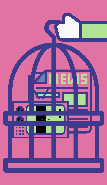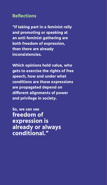### **Reflections**

**"If taking part in a feminist rally and promoting or speaking at an anti-feminist gathering are both freedom of expression, then there are already inconsistencies.**

**Which opinions hold value, who gets to exercise the rights of free speech, how and under what conditions are those expressions are propagated depend on different alignments of power and privilege in society.** 

**So, we can see freedom of expression is already or always conditional."**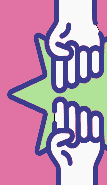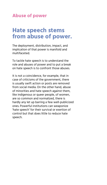# **Abuse of power**

# **Hate speech stems from abuse of power.**

The deployment, distribution, impact, and implication of that power is manifold and multifaceted.

To tackle hate speech is to understand the role and abuses of power and to put a break on hate speech is to confront those abuses.

It is not a coincidence, for example, that in case of criticisms of the government, there is usually swift action or posts are removed from social media. On the other hand, abuse of minorities and hate speech against them, like indigenous or queer people, of women, are so common and normalized, there is hardly any let up barring a few well-publicized ones. Powerful institutions can weaponize 'hate speech' for their survival or exertion of control but that does little to reduce hate speech.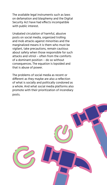The available legal instruments such as laws on defamation and blasphemy and the Digital Security Act have had effects incompatible with public interest.

Unabated circulation of harmful, abusive posts on social media, organized trolling and mob attacks against minorities and the marginalized means it is them who must be vigilant, take precautions, remain cautious about safety when those responsible for such attacks and vitriol – often from the comforts of a dominant position – do so without consequences. The equation is lopsided and that is abuse of power.

The problems of social media as recent or different as they maybe are also a reflection of what is socially and politically condoned as a whole. And what social media platforms also promote with their prioritization of incendiary posts.

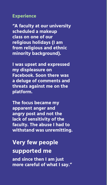### **Experience**

**"A faculty at our university scheduled a makeup class on one of our religious holidays (I am from religious and ethnic minority background).** 

**I was upset and expressed my displeasure on Facebook. Soon there was a deluge of comments and threats against me on the platform.** 

**The focus became my apparent anger and angry post and not the lack of sensitivity of the faculty. The abuse I had to withstand was unremitting.** 

# **Very few people supported me**

**and since then I am just more careful of what I say."**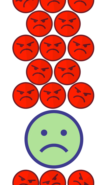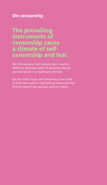#### **On censorship**

# **The prevailing instruments of censorship cause a climate of selfcensorship and fear.**

But the nature of self-censorship is hard to define or delineate when it becomes almost second-nature in a repressive climate.

On the other hand, self-censorship does little to halt hate speech, highlighting who and what kind of speech can operate without check.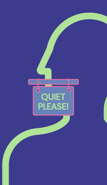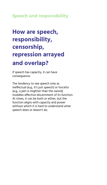# **Speech and responsibility**

# **How are speech, responsibility, censorship, repression arrayed and overlap?**

If speech has capacity, it can have consequence.

The tendency to see speech only as ineffectual (e.g., it's just speech) or forceful (e.g., a pen is mightier than the sword) muddles effective discernment of its function. At times, it can be both or either, but the function aligns with capacity and power without which it is hard to understand what speech does or doesn't do.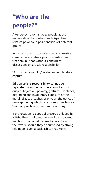# **"Who are the people?"**

A tendency to romanticize people as the masses elide the contrast and disparities in relative power and positionalities of different groups.

In matters of artistic expression, a repressive climate necessitates a push towards more freedom, but not without concurrent discussions on artistic responsibility.

"Artistic responsibility" is also subject to state capture.

Still, an artist's responsibility cannot be separated from the consideration of artistic output. Abjection, poverty, gratuitous violence, degrading and involuntary exposure of the marginalized, breaches of privacy, the ethics of news gathering which risks more surveillance – "normal" practices – merit more scrutiny.

If provocation is a special preserve enjoyed by artists, then it follows, there will be provoked reactions. If an artist desires to provoke with their work, should they be surprised by strong rejoinders, even a backlash to that work?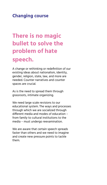# **Changing course**

# **There is no magic bullet to solve the problem of hate**

# **speech.**

A change or rethinking or redefinition of our existing ideas about nationalism, identity, gender, religion, state, law, and more are needed. Counter narratives and counter spaces are crucial.

As is the need to spread them through grassroots, intimate organizing.

We need large scale revisions to our educational system. The ways and processes through which we are socialized through different media and modes of education – from family to cultural institutions to the media – must undergo reexamination.

We are aware that certain speech spreads faster than others and we need to imagine and create new pressure points to tackle them.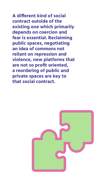**A different kind of social contract outside of the existing one which primarily depends on coercion and fear is essential. Reclaiming public spaces, negotiating an idea of commons not reliant on repression and violence, new platforms that are not so profit oriented, a reordering of public and private spaces are key to that social contract.** 

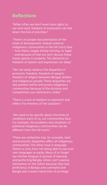# **Reflections**

"When often we don't even have rights to our own land, freedom of expression can feel down the line of priorities."

"There's no proper documentation of the kinds of development-related violence indigenous communities in the hill tracts face – from Ramu, bagda shrimp farming, to Sajek – and because of that we can't discuss these issues openly or properly. The obstacles to freedom of speech and expression run deep."

"We can easily observe the disparities in economic freedom, freedom of speech, freedom of religion between Bengali settlers and indigenous people. These disparities are also present within and across indigenous communities because of the divisions and competitions our institutions create."

"There is a lack of medium to represent and reflect the interests of the subaltern"

"We need to be specific about the kinds of conditions each of us, our communities face. For example, the problems and situations of plainland indigenous communities can be different from the hill tracts."

"There are similarities too, for example, land and economic disparities affect all indigenous communities. The other issue is language. There's a crisis from not being able to use your own languages as easily. Many of us forget our mother tongues in pursuit of learning and perfecting Bangla; others can't express themselves to the fullest because they lack proficiency in Bangla and command over Bangla also creates hierarchies of privilege.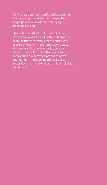Many of us don't feel comfortable speaking or expressing ourselves in our respective languages because of fear of bullying, mocking, teasing."

"Promoting multiculturalism within the state framework is beset with problems too because that inevitably creates other sets of stereotypes. With such top-down, state directed framing, certain social, cultural, religious symbols, rituals, traditions are deployed in a way which produces newer boundaries – these delineations are also impositions – on national or ethnic or religious belonging."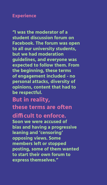### **Experience**

**"I was the moderator of a student discussion forum on Facebook. The forum was open to all our university students, but we had moderation guidelines, and everyone was expected to follow them. From the beginning, these terms of engagement included - no personal attacks, diversity of opinions, content that had to be respectful. But in reality, these terms are often difficult to enforce. Soon we were accused of bias and having a progressive leaning and 'censoring' opposing views. Some members left or stopped posting, some of them wanted to start their own forum to express themselves."**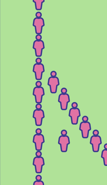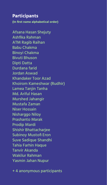# **Participants**

**(In first name alphabetical order)**

Afsana Hasan Shejuty Ashfika Rahman ATM Ragib Raihan Babu Chakma Binoyi Chakma Bivuti Bhuson Dipti Datta Durdana farid Jordan Aswad Khandaker Toor Azad Khoirom Kameshwar (Rudhir) Lamea Tanjin Tanha Md. Ariful Hasan Murshed Jahangir Mustafa Zaman Niser Hossain Nisharggo Niloy Prashanto Marak Prodip Mardi Shishir Bhattacharjee Subinoy Mustofi Eron Suve Sadique Shandhi Tahia Farhin Haque Tanvir Akanda Wakilur Rahman Yasmin Jahan Nupur

+ 4 anonymous participants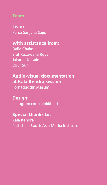#### **Team**

**Lead:** Parsa Sanjana Sajid

# **With assistance from:**

Dalia Chakma Efat Razowana Reya Jakaria Hossain Oliur Sun

**Audio-visual documentation at Kala Kendra session:** Forhaduddin Masum

**Design:** instagram.com/olokkhiart

# **Special thanks to:**

Kala Kendra Pathshala South Asia Media Institute